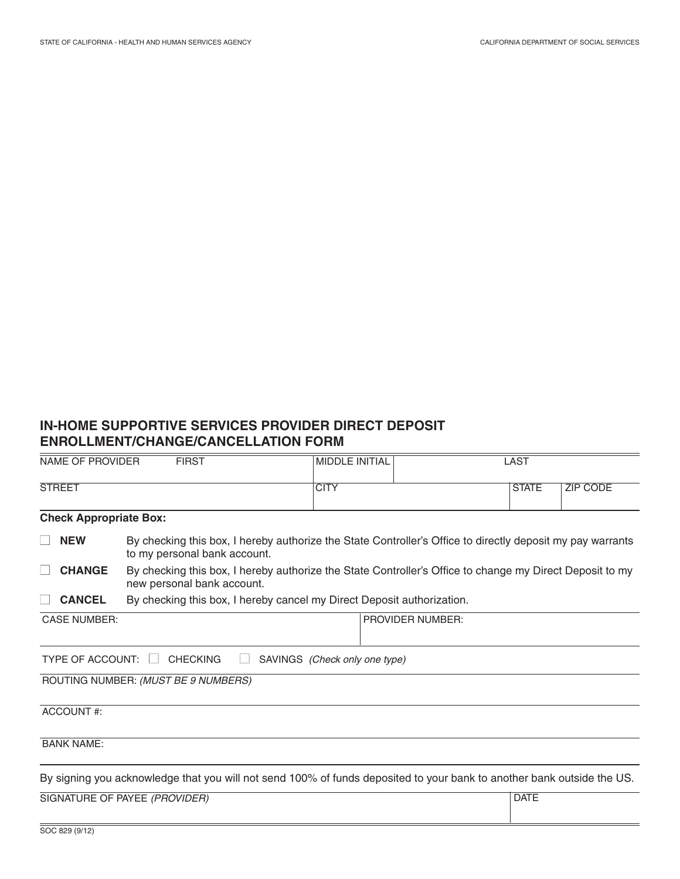# **IN-HOME SUPPORTIVE SERVICES PROVIDER DIRECT DEPOSIT ENROLLMENT/CHANGE/CANCELLATION FORM**

| <b>FIRST</b><br><b>NAME OF PROVIDER</b>                              |                                                                                                                                            | <b>MIDDLE INITIAL</b> | LAST                    |              |                 |  |  |
|----------------------------------------------------------------------|--------------------------------------------------------------------------------------------------------------------------------------------|-----------------------|-------------------------|--------------|-----------------|--|--|
| <b>STREET</b>                                                        |                                                                                                                                            | <b>CITY</b>           |                         | <b>STATE</b> | <b>ZIP CODE</b> |  |  |
| <b>Check Appropriate Box:</b>                                        |                                                                                                                                            |                       |                         |              |                 |  |  |
| <b>NEW</b>                                                           | By checking this box, I hereby authorize the State Controller's Office to directly deposit my pay warrants<br>to my personal bank account. |                       |                         |              |                 |  |  |
| <b>CHANGE</b>                                                        | By checking this box, I hereby authorize the State Controller's Office to change my Direct Deposit to my<br>new personal bank account.     |                       |                         |              |                 |  |  |
| <b>CANCEL</b>                                                        | By checking this box, I hereby cancel my Direct Deposit authorization.                                                                     |                       |                         |              |                 |  |  |
| <b>CASE NUMBER:</b>                                                  |                                                                                                                                            |                       | <b>PROVIDER NUMBER:</b> |              |                 |  |  |
| TYPE OF ACCOUNT:<br>SAVINGS (Check only one type)<br><b>CHECKING</b> |                                                                                                                                            |                       |                         |              |                 |  |  |
| ROUTING NUMBER: (MUST BE 9 NUMBERS)                                  |                                                                                                                                            |                       |                         |              |                 |  |  |
| ACCOUNT#:                                                            |                                                                                                                                            |                       |                         |              |                 |  |  |
| <b>BANK NAME:</b>                                                    |                                                                                                                                            |                       |                         |              |                 |  |  |
|                                                                      | By signing you acknowledge that you will not send 100% of funds deposited to your bank to another bank outside the US.                     |                       |                         |              |                 |  |  |
|                                                                      | SIGNATURE OF PAYEE (PROVIDER)                                                                                                              |                       |                         | <b>DATE</b>  |                 |  |  |
| SOC 829 (9/12)                                                       |                                                                                                                                            |                       |                         |              |                 |  |  |